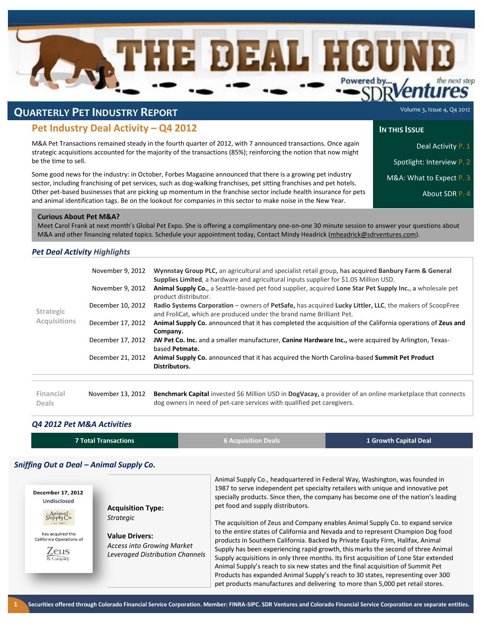

# **QUARTERLY PET INDUSTRY REPORT**

# **Pet Industry Deal Activity – Q4 2012**

M&A Pet Transactions remained steady in the fourth quarter of 2012, with 7 announced transactions. Once again strategic acquisitions accounted for the majority of the transactions (85%); reinforcing the notion that now might be the time to sell.

Some good news for the industry: in October, Forbes Magazine announced that there is a growing pet industry sector, including franchising of pet services, such as dog-walking franchises, pet sitting franchises and pet hotels. Other pet-based businesses that are picking up momentum in the franchise sector include health insurance for pets and animal identification tags. Be on the lookout for companies in this sector to make noise in the New Year.

Volume 3, Issue 4, Q4 2012

### **IN** THIS **ISSUE**

- Deal Activity P. 1
- Spotlight: Interview P. 2
- M&A: What to Expect P. 3
	- About SDR P. 4

### **Curious About Pet M&A?**

Meet Carol Frank at next month's Global Pet Expo. She is offering a complimentary one-on-one 30 minute session to answer your questions about M&A and other financing related topics. Schedule your appointment today, Contact Mindy Headrick [\(mheadrick@sdrventures.com\)](mailto:mheadrick@sdrventures.com).

# *Pet Deal Activity Highlights*

| <b>Strategic</b><br><b>Acquisitions</b> | November 9, 2012  | Wynnstay Group PLC, an agricultural and specialist retail group, has acquired Banbury Farm & General<br>Supplies Limited, a hardware and agricultural inputs supplier for \$1.05 Million USD. |
|-----------------------------------------|-------------------|-----------------------------------------------------------------------------------------------------------------------------------------------------------------------------------------------|
|                                         | November 9, 2012  | Animal Supply Co., a Seattle-based pet food supplier, acquired Lone Star Pet Supply Inc., a wholesale pet<br>product distributor.                                                             |
|                                         | December 10, 2012 | Radio Systems Corporation – owners of PetSafe, has acquired Lucky Littler, LLC, the makers of ScoopFree<br>and FroliCat, which are produced under the brand name Brilliant Pet.               |
|                                         | December 17, 2012 | Animal Supply Co. announced that it has completed the acquisition of the California operations of Zeus and<br>Company.                                                                        |
|                                         | December 17, 2012 | JW Pet Co. Inc. and a smaller manufacturer, Canine Hardware Inc., were acquired by Arlington, Texas-<br>based Petmate.                                                                        |
|                                         | December 21, 2012 | Animal Supply Co. announced that it has acquired the North Carolina-based Summit Pet Product<br>Distributors.                                                                                 |
|                                         |                   |                                                                                                                                                                                               |
|                                         |                   |                                                                                                                                                                                               |

| Financial | November 13, 2012 Benchmark Capital invested \$6 Million USD in DogVacay, a provider of an online marketplace that connects |
|-----------|-----------------------------------------------------------------------------------------------------------------------------|
| Deals     | dog owners in need of pet-care services with qualified pet caregivers.                                                      |

# *Q4 2012 Pet M&A Activities*

| 7 Total Transactions | <b>6 Acquisition Deals</b> | 1 Growth Capital Deal |
|----------------------|----------------------------|-----------------------|
|                      |                            |                       |

# *Sniffing Out a Deal – Animal Supply Co.*

| December 17, 2012<br>Undisclosed<br>Animal*<br>$-$ ext. $1987 -$<br>has acquired the<br>California Operations of<br>Zeus<br>& Company | <b>Acquisition Type:</b><br><b>Strategic</b><br><b>Value Drivers:</b><br><b>Access into Growing Market</b><br><b>Leveraged Distribution Channels</b> | Animal Supply Co., headquartered in Federal Way, Washington, was founded in<br>1987 to serve independent pet specialty retailers with unique and innovative pet<br>specially products. Since then, the company has become one of the nation's leading<br>pet food and supply distributors.<br>The acquisition of Zeus and Company enables Animal Supply Co. to expand service<br>to the entire states of California and Nevada and to represent Champion Dog food<br>products in Southern California. Backed by Private Equity Firm, Halifax, Animal<br>Supply has been experiencing rapid growth, this marks the second of three Animal<br>Supply acquisitions in only three months. Its first acquisition of Lone Star extended<br>Animal Supply's reach to six new states and the final acquisition of Summit Pet<br>Products has expanded Animal Supply's reach to 30 states, representing over 300<br>pet products manufactures and delivering to more than 5,000 pet retail stores. |
|---------------------------------------------------------------------------------------------------------------------------------------|------------------------------------------------------------------------------------------------------------------------------------------------------|-------------------------------------------------------------------------------------------------------------------------------------------------------------------------------------------------------------------------------------------------------------------------------------------------------------------------------------------------------------------------------------------------------------------------------------------------------------------------------------------------------------------------------------------------------------------------------------------------------------------------------------------------------------------------------------------------------------------------------------------------------------------------------------------------------------------------------------------------------------------------------------------------------------------------------------------------------------------------------------------|
|---------------------------------------------------------------------------------------------------------------------------------------|------------------------------------------------------------------------------------------------------------------------------------------------------|-------------------------------------------------------------------------------------------------------------------------------------------------------------------------------------------------------------------------------------------------------------------------------------------------------------------------------------------------------------------------------------------------------------------------------------------------------------------------------------------------------------------------------------------------------------------------------------------------------------------------------------------------------------------------------------------------------------------------------------------------------------------------------------------------------------------------------------------------------------------------------------------------------------------------------------------------------------------------------------------|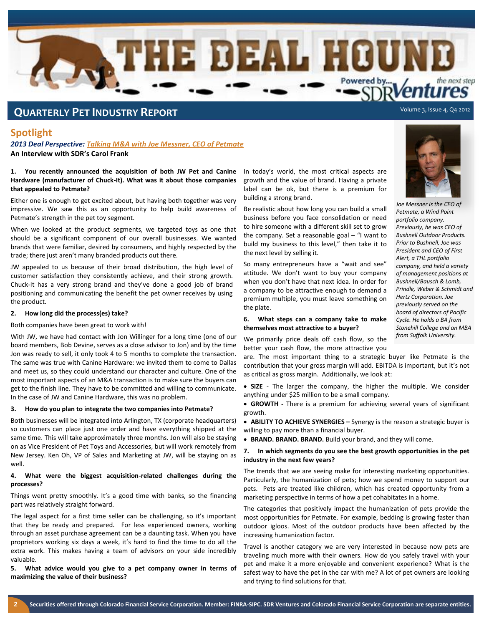

# **QUARTERLY PET INDUSTRY REPORT**

# **Spotlight**

*2013 Deal Perspective: Talking M&A with Joe Messner, CEO of Petmate* **An Interview with SDR's Carol Frank**

### **1. You recently announced the acquisition of both JW Pet and Canine Hardware (manufacturer of Chuck-It). What was it about those companies that appealed to Petmate?**

Either one is enough to get excited about, but having both together was very impressive. We saw this as an opportunity to help build awareness of Petmate's strength in the pet toy segment.

When we looked at the product segments, we targeted toys as one that should be a significant component of our overall businesses. We wanted brands that were familiar, desired by consumers, and highly respected by the trade; there just aren't many branded products out there.

JW appealed to us because of their broad distribution, the high level of customer satisfaction they consistently achieve, and their strong growth. Chuck-It has a very strong brand and they've done a good job of brand positioning and communicating the benefit the pet owner receives by using the product.

#### **2. How long did the process(es) take?**

Both companies have been great to work with!

With JW, we have had contact with Jon Willinger for a long time (one of our board members, Bob Devine, serves as a close advisor to Jon) and by the time Jon was ready to sell, it only took 4 to 5 months to complete the transaction. The same was true with Canine Hardware: we invited them to come to Dallas and meet us, so they could understand our character and culture. One of the most important aspects of an M&A transaction is to make sure the buyers can get to the finish line. They have to be committed and willing to communicate. In the case of JW and Canine Hardware, this was no problem.

#### **3. How do you plan to integrate the two companies into Petmate?**

Both businesses will be integrated into Arlington, TX (corporate headquarters) so customers can place just one order and have everything shipped at the same time. This will take approximately three months. Jon will also be staying on as Vice President of Pet Toys and Accessories, but will work remotely from New Jersey. Ken Oh, VP of Sales and Marketing at JW, will be staying on as well.

#### **4. What were the biggest acquisition-related challenges during the processes?**

Things went pretty smoothly. It's a good time with banks, so the financing part was relatively straight forward.

The legal aspect for a first time seller can be challenging, so it's important that they be ready and prepared. For less experienced owners, working through an asset purchase agreement can be a daunting task. When you have proprietors working six days a week, it's hard to find the time to do all the extra work. This makes having a team of advisors on your side incredibly valuable.

**5. What advice would you give to a pet company owner in terms of maximizing the value of their business?**

In today's world, the most critical aspects are growth and the value of brand. Having a private label can be ok, but there is a premium for building a strong brand.

Be realistic about how long you can build a small business before you face consolidation or need to hire someone with a different skill set to grow the company. Set a reasonable goal – "I want to build my business to this level," then take it to the next level by selling it.

So many entrepreneurs have a "wait and see" attitude. We don't want to buy your company when you don't have that next idea. In order for a company to be attractive enough to demand a premium multiple, you must leave something on the plate.

### **6. What steps can a company take to make themselves most attractive to a buyer?**

We primarily price deals off cash flow, so the better your cash flow, the more attractive you

are. The most important thing to a strategic buyer like Petmate is the contribution that your gross margin will add. EBITDA is important, but it's not as critical as gross margin. Additionally, we look at:

 **SIZE** - The larger the company, the higher the multiple. We consider anything under \$25 million to be a small company.

 **GROWTH -** There is a premium for achieving several years of significant growth.

**• ABILITY TO ACHIEVE SYNERGIES –** Synergy is the reason a strategic buyer is willing to pay more than a financial buyer.

**BRAND. BRAND. BRAND.** Build your brand, and they will come.

#### **7. In which segments do you see the best growth opportunities in the pet industry in the next few years?**

The trends that we are seeing make for interesting marketing opportunities. Particularly, the humanization of pets; how we spend money to support our pets. Pets are treated like children, which has created opportunity from a marketing perspective in terms of how a pet cohabitates in a home.

The categories that positively impact the humanization of pets provide the most opportunities for Petmate. For example, bedding is growing faster than outdoor igloos. Most of the outdoor products have been affected by the increasing humanization factor.

Travel is another category we are very interested in because now pets are traveling much more with their owners. How do you safely travel with your pet and make it a more enjoyable and convenient experience? What is the safest way to have the pet in the car with me? A lot of pet owners are looking and trying to find solutions for that.



*Joe Messner is the CEO of Petmate, a Wind Point portfolio company. Previously, he was CEO of Bushnell Outdoor Products. Prior to Bushnell, Joe was President and CEO of First Alert, a THL portfolio company, and held a variety of management positions at Bushnell/Bausch & Lomb, Prindle, Weber & Schmidt and Hertz Corporation. Joe previously served on the board of directors of Pacific Cycle. He holds a BA from Stonehill College and an MBA from Suffolk University.*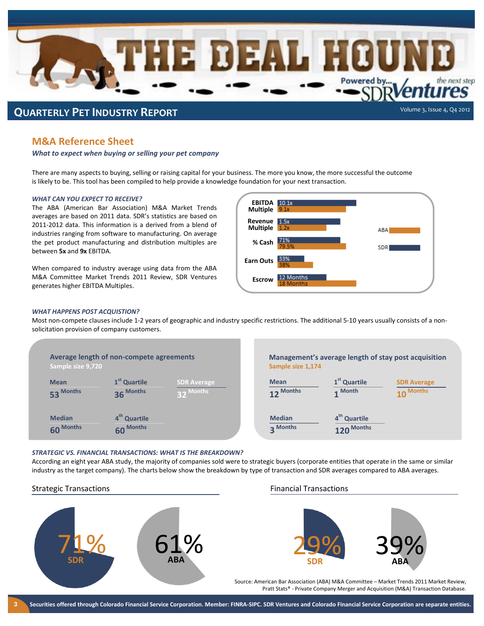

# **M&A Reference Sheet**

*What to expect when buying or selling your pet company*

There are many aspects to buying, selling or raising capital for your business. The more you know, the more successful the outcome is likely to be. This tool has been compiled to help provide a knowledge foundation for your next transaction.

#### *WHAT CAN YOU EXPECT TO RECEIVE?*

The ABA (American Bar Association) M&A Market Trends averages are based on 2011 data. SDR's statistics are based on 2011-2012 data. This information is a derived from a blend of industries ranging from software to manufacturing. On average the pet product manufacturing and distribution multiples are between **5x** and **9x** EBITDA.

When compared to industry average using data from the ABA M&A Committee Market Trends 2011 Review, SDR Ventures generates higher EBITDA Multiples.



#### *WHAT HAPPENS POST ACQUISTION?*

Most non-compete clauses include 1-2 years of geographic and industry specific restrictions. The additional 5-10 years usually consists of a nonsolicitation provision of company customers.

| Sample size 9,720              | Average length of non-compete agreements |                                           |
|--------------------------------|------------------------------------------|-------------------------------------------|
| <b>Mean</b><br>53 Months       | 1 <sup>st</sup> Quartile<br>36 Months    | <b>SDR Average</b><br><b>Months</b><br>22 |
| <b>Median</b><br><b>Months</b> | 4 <sup>th</sup> Quartile<br>60 Months    |                                           |

**Management's average length of stay post acquisition Sample size 1,174**

| <b>Mean</b>               | 1 <sup>st</sup> Quartile               | <b>SDR Average</b> |
|---------------------------|----------------------------------------|--------------------|
| 12 Months                 | 1 Month                                | 10 Months          |
| <b>Median</b><br>3 Months | 4 <sup>th</sup> Quartile<br>120 Months |                    |

#### *STRATEGIC VS. FINANCIAL TRANSACTIONS: WHAT IS THE BREAKDOWN?*

According an eight year ABA study, the majority of companies sold were to strategic buyers (corporate entities that operate in the same or similar industry as the target company). The charts below show the breakdown by type of transaction and SDR averages compared to ABA averages.

### Strategic Transactions **Financial Transactions** Financial Transactions





Source: American Bar Association (ABA) M&A Committee – Market Trends 2011 Market Review, Pratt Stats® - Private Company Merger and Acquisition (M&A) Transaction Database.